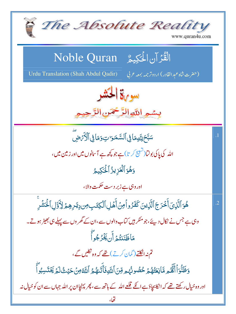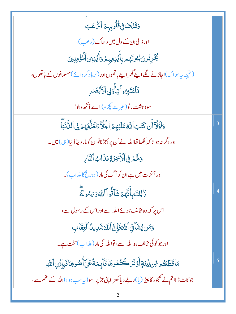| وَقَلَٰنَ فِى قُلُوبِهِمُ ٱلرُّعۡبَ                                                      |                 |
|------------------------------------------------------------------------------------------|-----------------|
| اور ڈالی ان کے دل میں دھاک (رعب)،                                                        |                 |
| يُّخُرِبُونَ بُيُوتَهُمْ بِأَيۡلِايِهِمۡ وَأَيۡلِى الۡهُوَۡضِينَ                         |                 |
| (نتیجہ یہ ہوا کہ)اجاڑنے لگے اپنے گھراپنے ہاتھوں اور (برباد کر دائے)مسلمانوں کے ہاتھوں،   |                 |
| فَأَعۡتَبِرُواۡيَآَوَٰلِٱلۡأَبۡصَٰلِ                                                     |                 |
| سود ہشت مانو(عبرت پکڑ و) اے آنکھ والو!                                                   |                 |
| وَلَوۡلَآ أَن كَتَبَ ٱللَّهُ عَلَيۡهِمُ ٱلۡجَلَّآءَلَعَلَّآبَهُمۡ فِى ٱللَّٰٓئِيَّآ      | .3              |
| اور اگر نہ ہو تا کہ لکھاتھااللہ نے اُن پر اُجڑناتوان کومار دیتادُ نیا( ہی) میں۔          |                 |
| <b>وَلَهُمْ فِى ٱلْأَخِرَةِ عَذَابُ ٱلنَّا</b> مِ                                        |                 |
| اور آخرت میں ہے ان کو آگ کی مار ( دوزخ کا عذاب )۔                                        |                 |
| ذَ <sup>ا</sup> لِكَ بِأَنَّهُمُ شَأَقُّواْ اللَّهَ وَىَسُولَ <i>هَ</i>                  | $\cdot$         |
| اس پر کہ وہ مخالف ہوئے اللہ سے اور اس کے رسول سے،                                        |                 |
| وَمَن يُشَآتِّ ٱللَّحَفَإِنَّ ٱللَّحَشَالِيلُ ٱلۡعِقَابِ                                 |                 |
| اور جو کوئی مخالف ہو اللہ سے، تواللہ کی مار (عذاب)سخت ہے۔                                |                 |
| مَاقَطَعُتُم مِّن لِينَةٍأَوۡتَرَكۡتُمُوهَاقَاۤبِمَةًعَلَىٰٓأُصُولِهَاۚفَبِإِذۡنِٱللَّهِ | $\overline{.5}$ |
| جو کاٹ ڈالا تم نے کھجور کا پیڑ (یا)رہنے دیاکھڑ ااپنی جڑپر،سو(پہ سب ہوا)اللہ کے حکم سے،   |                 |
|                                                                                          |                 |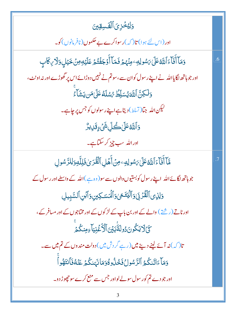وَلِيُخَزِىَ ٱلْقَسِقِينَ اور (اس لئے ہوا) تا( کہ )رسواکرے بے حکموں (نافرمانوں )کو۔ دَمَآ أَنَآءَٱللَّهُ عَلَىٰ بَسُولِهِ ۖ مِنۡهُمۡ فَمَآ أَوۡجَفۡتُمۡ عَلَيۡهِ مِنۡ خَيۡلِ وَلَا *ي*كَابِ  $.6$ اور جوہاتھ لگایااللہ نے اپنے رسول کوان سے،سوتم نے نہیں دوڑائے اس پر گھوڑے اور نہ اونٹ، وَلَكِنَّ ٱللَّهَ يُسَلِّطُ رُسُلَهُ عَلَىٰ مَن يَشَأَءُ لیکن <sub>اللّٰہ</sub> جبّا(تسلط) دیتاہے اپنے رسولوں کو جس پر چاہے۔ **وَٱللَّهُ عَلَىٰ كُلِّ شَيْءٍ قَلِيشٌ** اوراللہ سب چیز کر سکتاہے۔ قَآ أَفَآءَ ٱللَّهُ عَلَىٰ يَسُولِهِۦ مِنۡ أَهَلِ ٱلۡقُدَىٰ فَلِلَّهِ وَلِلرَّسُولِ .7 جوہاتھ لگائے اللہ اپنے رسول کوبستیوں والوں سے سو(وہ ہے )اللہ کے داسطے اور رسول کے وَلِذِي ٱلْقُرْبَىٰ وَٱلۡيَتَمَىٰ وَٱلۡمَسَكِينِ وَٱبۡنِ ٱلسَّبِيلِ اور ناتے (ریشئے ) والے کے اور بن پاپ کے لڑ کوں کے اور مختاجوں کے اور مسافر کے ، كَيْ لَا يَكُونَ دُولَةَٰبَيْنَ ٱلْأَغۡنِيَاۚ ءِمِنكُمۡ تا( کہ )نہ آئے لینے دینے میں (رہے گر دش میں ) دولت مندوں کے تم میں سے۔ وَمَآ ءَاتَنكُمُ ٱلرَّسُولُ فَخُذُوهُوَمَانَهَنكُمۡ عَنۡهُفَأَنتَهُواۡ اور جو دے تم کو رسول سولے لواور جس سے منع کرے سو چھوڑ دو۔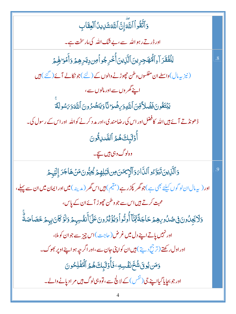وَأَتَّقُواْ ٱللَّهَ إِنَّ ٱللَّهَشَلِيلُ ٱلْعِقَابِ اور ڈرتے رہواللہ سے،ب<sup>ے ش</sup>ک اللہ کی مارسخت ہے۔ لِلۡفُقَرَآءِٱلۡۖۚ<br>لِلۡفُقَرَآءِٱلۡۖفَهَٰٓدِينَٱلَّٰٓنِينَٲ۠ڂۘڔجُواۡۖڡِن دِيَـٰڔهِمۡ وَأَمۡوَاهِمۡ  $.8\,$ (نیز پیہال)واسطے ان مفلسوں و طن حچوڑنے والوں کے (لئے )جو نکالے آئے (گئے ) ہیں اپنے گھر وں سے اور مالوں سے، يَبْتَغُونَ فَضَلاً قِنَ ٱللَّهِوَىِضَوَا نَّا وَيَنصُرُونَ ٱللَّهَوَىَسُولَةَ ڈ حونڈ تے آئے بیں اللہ کافضل اور اس کی رضامند کی،اور مد د کرنے کواللہ ِ اور اس کے رسول کی۔ أُوَلِّبِكَهُمُ ٱلصَّلِقُونَ وہ لوگ وہی ہیں سیجے۔ 5 ٱلَّذِينَ تَبَوَّۦُو ٱلدَّامَ وَٱلْإِيمَنَ مِن قَبَلِهِمْ يُحِبُّونَ مَنۡ هَاجَرَ إِلَيۡهِمۡ 9 اور ( پہ مال ان لو گوں کیلئے بھی ہے )جو گھر پکڑ رہے (مقیم ) ہیں اس گھر ( مدینہ ) **میں اور ایمان میں ان سے پہلے ،** محبت کرتے ہیں اس سے جو وطن چھوڑ آئے ان کے پاس، وَلَايَجِلُونَ فِي صُلُوبِهِمْ حَاجَةً لِمَّآ أُوتُواۡوَيُؤۡثِرُونَ عَلَىٰٓأَنفُسِهِمۡ وَلَوۡكَانَ بِهِمۡ خَصَاصَةٌ اور نہیں یاتے اپنے دل میں غرض (حاجت) اس چیز سے جوان کو ملا، اور اول رکھتے (ترج جسے بین ان کواپنی جان سے ،اور اگر جیہ ہو اپنے اوپر بھوک۔ وَمَن يُوقَ شُحَّ نَفْسِهِ ۖ فَأُوَلَّبِكَ هُمُ ٱلْمُفۡلِحُونَ اور جو بحایا گیااینے جی ( <sup>فف</sup>س ) کے لا پ<sup>ل</sup>ج سے ، تووہی لوگ <del>ہی</del>ں مر ادیانے والے۔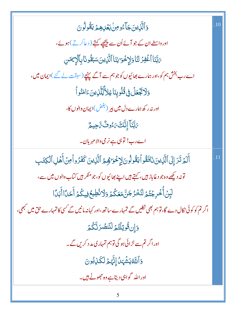| .10 |
|-----|
|     |
|     |
|     |
|     |
|     |
|     |
|     |
| .11 |
|     |
|     |
|     |
|     |
|     |
|     |
|     |
|     |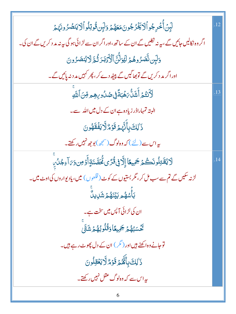| لَبِنۡ أَخۡرِجُواۡٱلۡ یَخۡرُجُونَ <i>ۥمَعَهُمۡ</i> رَلَبِن <b>ُ تُوتِلُواۡٱلَایَنصُرُونَ</b> هُمۡ        | .12 |
|----------------------------------------------------------------------------------------------------------|-----|
| اگر وہ نکالیں جائیں گے ، بیرنہ نکلیں گے ان کے ساتھ ،اور اگر ان سے لڑ ائی ہو گی بیرنہ مد د کریں گے ان کی۔ |     |
| وَلَبِن نَّصَرُوهُمْ لَيُوَلَّنَّ ٱلْأَذَّبَدَ ثُمَّ لَا يُنصَرُونَ                                      |     |
| اور اگر مد د کریں گے تو بھاگیں گے پیٹھ دے کر ، پھر کہیں مد دنہ پائیں گے۔                                 |     |
| ڶۯ <i>ڎؿ۠ۮ</i> ٙڶٞۺؘڷۨ <i>۠؆ۿؙ</i> ڹ <i>ڐۘڣۣ۬ڞ۠ۮؙۏۑۿؚۄڡؚٚڹٲ</i> ڷ <i>ڐۜ</i> ۣ                            |     |
| البتہ تمہاراڈر زیادہ ہے ان کے دل میں اللہ سے۔                                                            |     |
| ذَ <sup>ا</sup> لِكَ بِأَنَّهِمْ قَوْمٌ لَّا يَفۡقَهُونَ                                                 |     |
| بہراس سے (لئے ) کہ وہ لوگ (سمجھ) بوجھ نہیں رکھتے۔                                                        |     |
|                                                                                                          |     |
| لَايُقَتِلُونَكُمُ جَمِيعًا إِلَّا فِي قُرًى كُحَصَّنَةٍ أَوۡ مِن وَىَ آءِجُلُ بِ                        |     |
| لڑنہ سکیں گے تم سے سب مل کر ، مگر بستیوں کے کوٹ ( قلعوں ) میں ، یادیواروں کی اوٹ میں۔                    |     |
| ڹٵۧ <i>ۺۿۄ</i> ڹؽٙٮؘ۬ۿ <i>۠ۄۧ</i> ۺؘڸؠڵۘ                                                                 |     |
| ان کی لڑائی آ <sup>پ</sup> س میں سخت ہے۔                                                                 |     |
| ى<br>ئۇسۇمۇ جىيغاد <b>ڭلونۇ</b> مۇشق                                                                     |     |
| توجانے وہ اکھٹے ہیں اور ( گر ) ان کے دل پھوٹ رہے ہیں۔                                                    |     |
| ذَٰلِكَ بِأَنَّهُمۡ قَوۡمٌ لَّا يَعۡقِلُونَ                                                              |     |
| یہ اس سے کہ وہ لوگ عقل نہیں رکھتے۔                                                                       |     |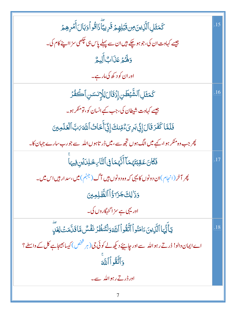| كَمَثَلِٱلَّذِينَ مِن قَبَٰلِهِمُ قَرِيبَّاۚذَاقُواۡوَبَالَأَمۡرِهِمۡ                          | .15 |
|------------------------------------------------------------------------------------------------|-----|
| جیسے کہاوت ان کی،جو ہو چکے ہیں ان سے پہلے پاس ہی پچھی سز ااپنے کام کی۔                         |     |
| وَلَهُمْ عَذَابٌ أَلِيمٌ                                                                       |     |
| اور ان کو د کھ کی مار ہے۔                                                                      |     |
| ؘػڡؘ <sup>ؿ</sup> ؘڸٱڵۺ۠ۜؽڟڹۣٳؚۮ۬ۊؘؘڶڶڶۣڷٳۭٮ۫ڛڹٱڪۘڡؙٛۮ                                         | .16 |
| جیسے کہاوت شیطان کی، جب کیے انسان کو، تومنکر ہو۔                                               |     |
| فَلَمَّا كَفَرَ قَالَ إِنِّي بَرِيَّ وُّمِّنكَ إِنِّيَ أَخَاثُ ٱللَّٰهَ مَبَّ ٱلْعَلَمِينَ     |     |
| پھر جب وہ منکر ہوا،کیے میں الگ ہوں تجھ سے،میں ڈر تاہوں اللہ سے جورب سارے جہان کا۔              |     |
| فَكَانَ عَقِبَتَهُمَآ أَنَّهُمَا فِى ٱلتَّارِ خَلِلَةِنِ فِيهَا                                |     |
| پھر آخر (انجام)ان دونوں کا یہی کہ وہ دونوں ہیں آگ (جہنم ) میں،سد ار ہیں اس میں۔                |     |
| <u>وَذَٰ لِكَ جَرَآ ؤُ</u> اۡ ٱلظَّٰلِمِينَ                                                    |     |
| اور یہی ہے سز اگنہگاروں کی۔                                                                    |     |
| يٓٵٞؿ۠ؠؘٵٱڷۜڹؚؠڹۦؘٳڡؘڹؙۅٱٱتَّقُوٱٱللَّهَ وَلۡتَنڟۢۯؘ نَفۡسٌ مَّاقَلَّمَتۡ لِغَلِّ              | .18 |
| اے ایمان دالو! ڈرتے رہو اللہ سے اور جاہیئے دیکھ لے کوئی جی (ہر شخص) کیسا بھیجاہے کل کے واسطے ؟ |     |
| وَأَتَّقُو أَأَللَّهَ                                                                          |     |
| اور ڈر تے رہو اللہ سے۔                                                                         |     |
|                                                                                                |     |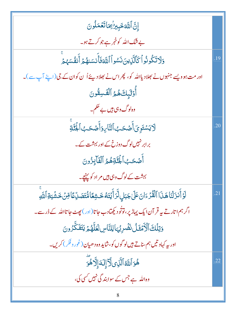| إِنَّ اللَّهَ خَبِيرُ بِمَاتَعُمَلُونَ                                                                |     |
|-------------------------------------------------------------------------------------------------------|-----|
| بے شک اللہ کو خبر ہے جو کرتے ہو۔                                                                      |     |
| وَلَاتَكُونُواْكَالَّلْإِينَ نَسُواْ اللَّهَ فَأَنسَنهُمْ أَنفُسَهُمْ                                 | .19 |
| اور مت ہوویسے جنہوں نے بھلادیااللہ کو، پھراس نے بھلادیئے اُ ن کوان کے جی (اپنے آپ سے)۔                |     |
| أُوْلَٰٓبِكَ هُمُ ٱلْقَسِقُونَ                                                                        |     |
| وہ لوگ وہی ہیں بے حکم۔                                                                                |     |
| ڶايَسۡتَوِىٓأَصۡحَبُٱلتَّارِوَأَصۡحَبُٱلۡبَٰٓآغَ                                                      | .20 |
| برابر نہیںلوگ دوزخ کے اور بہشت کے۔                                                                    |     |
| أَصْحَبُ الْجُنَّةِهُمُّ الْفَآبِزُونَ                                                                |     |
| بہشت کے لوگ وہی ہیں مر اد کو پہنچے۔                                                                   |     |
| ڶٷآنزَلْنَاهَنَااٱلْقُرْءَانَ عَلَىٰ جَبَالٍ لَّرَأَيۡتَهُ خَشِعًا مُّتَصَلِّعًا قِنۡ خَشۡيَةِٱللَّهِ | .21 |
| اگر ہم اتارتے ہہ قر آن ایک پہاڑ پر،توٹو دیکھتادب جاتا(اور) پھٹ جاتااللہ کے ڈر سے۔                     |     |
| وَتِلۡكَ ٱلۡكَمۡقَلُ نَضۡرِبُهَالِلتَّاسِ لَعَلَّهُمۡ يَتَفَكَّرُونَ                                  |     |
| اور بیہ کہاو تیں ہم ساتے ہیں لو گوں کو، شاید وہ دھیان (غور و فکر) کریں۔                               |     |
| ۿؘۊٱڶلَّهُٱلَّذِىلَّآإِلَهَٳ۪ڵۘٱۿۄٙ                                                                   | .22 |
| وہ اللہ ہے جس کے سوابند گی نہیں کسی کی،                                                               |     |
| 8                                                                                                     |     |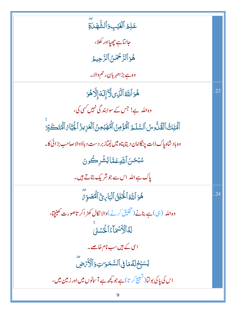| عَلِمُ ٱلۡغَيۡبِ وَٱلشَّهَلَاةِ                                                                    |     |
|----------------------------------------------------------------------------------------------------|-----|
| جانتاہے جھیلادر کھلا،                                                                              |     |
| هُوَ ٱلرَّحْمَٰنُ ٱلرَّحِيمُ                                                                       |     |
| وہ ہے بڑامہر بان رحم والا۔                                                                         |     |
| ۿؘۏٱللَّهُٱلَّٰٓڶؚ؈ڷؖٲٳ۪ڶڡؘٳ۪ڵۗٲۿۏ                                                                 | .23 |
| وہ اللہ ہے! جس کے سوابند گی نہیں کسی کی،                                                           |     |
| ٱلۡعَلِكُ ٱلۡقُلُّوسُ ٱلسَّلَـمُ ٱلۡوَٰٓمِنُ ٱلۡهُٰٓمِنَىٰ ٱلۡعَزِيزُ ٱلۡجَٰٓبَاٰ ۗ ٱلۡمُتَكَبِّرُ |     |
| وه باد شاه پاک ذات چنگامان دیتا پناه میں لیتاز بر دست دیاؤوالا صاحب بڑائی کا۔                      |     |
| <i>ۺڹٛڂڹ</i> ؘٲڷؘڸ <sub>ٙڮ</sub> عَمَّاێٛۺ۫ٚڔڪُونَ                                                 |     |
| پاک ہے اللہ اسسے جو شریک بتاتے ہیں۔                                                                |     |
| هُوَ ٱللَّهُ ٱلۡخَلِنُ ٱلۡبَارِئُ ٱلۡمُصَوِّرَ                                                     | .24 |
| وہ اللہ ( <sub>ن</sub> ی) ہے بنانے (تخلیق کرنے )والا نکال کھڑ اکر تاصورت کھینچ <sub>ی</sub> ا،     |     |
| لَهُ ٱلْأَسْمَاءُ ٱلْمُسْمَىٰ                                                                      |     |
| اسی کے ہیں سب نام خاصے۔                                                                            |     |
| يُسَبِّحُ لَهُمَا فِي ٱلسَّمَىَ تِ وَٱلْأَمَْضِ                                                    |     |
| اس کی پاکی بولٹا(تشبیح کر تا)ہے جو <del>پ</del> چھ ہے آس <b>انوں میں اور زمین میں ،</b>            |     |
| 9                                                                                                  |     |